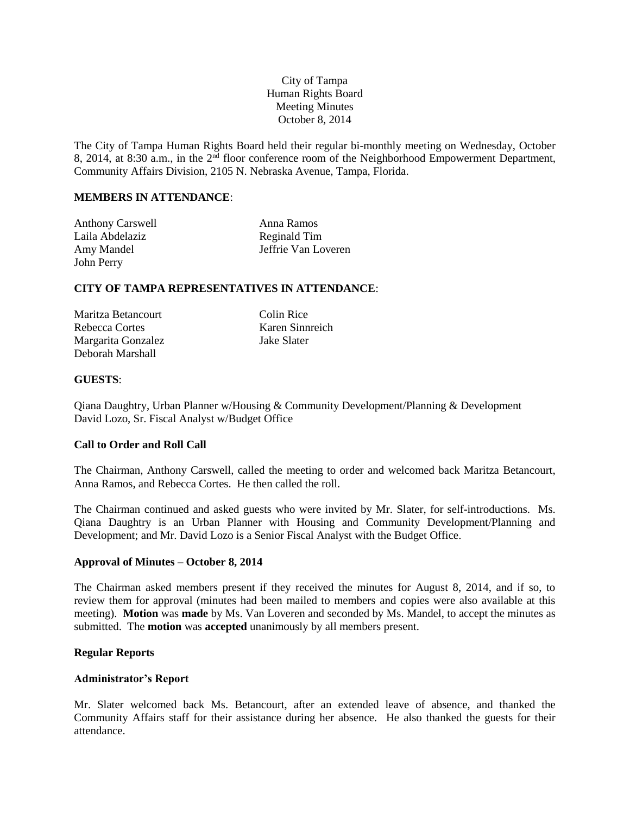# City of Tampa Human Rights Board Meeting Minutes October 8, 2014

The City of Tampa Human Rights Board held their regular bi-monthly meeting on Wednesday, October 8, 2014, at 8:30 a.m., in the  $2<sup>nd</sup>$  floor conference room of the Neighborhood Empowerment Department, Community Affairs Division, 2105 N. Nebraska Avenue, Tampa, Florida.

## **MEMBERS IN ATTENDANCE**:

| <b>Anthony Carswell</b> | Anna Ramos          |
|-------------------------|---------------------|
| Laila Abdelaziz         | Reginald Tim        |
| Amy Mandel              | Jeffrie Van Loveren |
| John Perry              |                     |

## **CITY OF TAMPA REPRESENTATIVES IN ATTENDANCE**:

| Maritza Betancourt |
|--------------------|
| Rebecca Cortes     |
| Margarita Gonzalez |
| Deborah Marshall   |

Colin Rice Karen Sinnreich Jake Slater

### **GUESTS**:

Qiana Daughtry, Urban Planner w/Housing & Community Development/Planning & Development David Lozo, Sr. Fiscal Analyst w/Budget Office

## **Call to Order and Roll Call**

The Chairman, Anthony Carswell, called the meeting to order and welcomed back Maritza Betancourt, Anna Ramos, and Rebecca Cortes. He then called the roll.

The Chairman continued and asked guests who were invited by Mr. Slater, for self-introductions. Ms. Qiana Daughtry is an Urban Planner with Housing and Community Development/Planning and Development; and Mr. David Lozo is a Senior Fiscal Analyst with the Budget Office.

## **Approval of Minutes – October 8, 2014**

The Chairman asked members present if they received the minutes for August 8, 2014, and if so, to review them for approval (minutes had been mailed to members and copies were also available at this meeting). **Motion** was **made** by Ms. Van Loveren and seconded by Ms. Mandel, to accept the minutes as submitted. The **motion** was **accepted** unanimously by all members present.

#### **Regular Reports**

#### **Administrator's Report**

Mr. Slater welcomed back Ms. Betancourt, after an extended leave of absence, and thanked the Community Affairs staff for their assistance during her absence. He also thanked the guests for their attendance.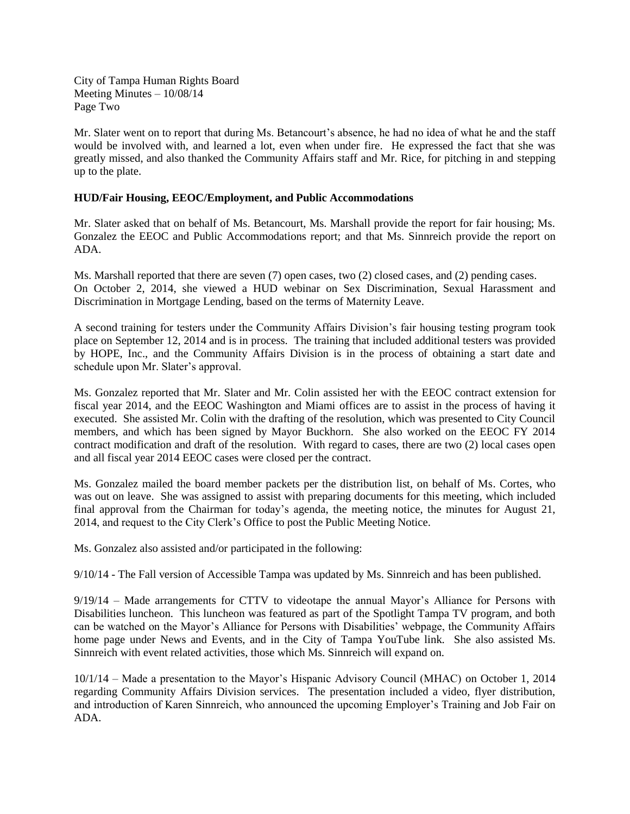City of Tampa Human Rights Board Meeting Minutes – 10/08/14 Page Two

Mr. Slater went on to report that during Ms. Betancourt's absence, he had no idea of what he and the staff would be involved with, and learned a lot, even when under fire. He expressed the fact that she was greatly missed, and also thanked the Community Affairs staff and Mr. Rice, for pitching in and stepping up to the plate.

## **HUD/Fair Housing, EEOC/Employment, and Public Accommodations**

Mr. Slater asked that on behalf of Ms. Betancourt, Ms. Marshall provide the report for fair housing; Ms. Gonzalez the EEOC and Public Accommodations report; and that Ms. Sinnreich provide the report on ADA.

Ms. Marshall reported that there are seven (7) open cases, two (2) closed cases, and (2) pending cases. On October 2, 2014, she viewed a HUD webinar on Sex Discrimination, Sexual Harassment and Discrimination in Mortgage Lending, based on the terms of Maternity Leave.

A second training for testers under the Community Affairs Division's fair housing testing program took place on September 12, 2014 and is in process. The training that included additional testers was provided by HOPE, Inc., and the Community Affairs Division is in the process of obtaining a start date and schedule upon Mr. Slater's approval.

Ms. Gonzalez reported that Mr. Slater and Mr. Colin assisted her with the EEOC contract extension for fiscal year 2014, and the EEOC Washington and Miami offices are to assist in the process of having it executed. She assisted Mr. Colin with the drafting of the resolution, which was presented to City Council members, and which has been signed by Mayor Buckhorn. She also worked on the EEOC FY 2014 contract modification and draft of the resolution. With regard to cases, there are two (2) local cases open and all fiscal year 2014 EEOC cases were closed per the contract.

Ms. Gonzalez mailed the board member packets per the distribution list, on behalf of Ms. Cortes, who was out on leave. She was assigned to assist with preparing documents for this meeting, which included final approval from the Chairman for today's agenda, the meeting notice, the minutes for August 21, 2014, and request to the City Clerk's Office to post the Public Meeting Notice.

Ms. Gonzalez also assisted and/or participated in the following:

9/10/14 - The Fall version of Accessible Tampa was updated by Ms. Sinnreich and has been published.

9/19/14 – Made arrangements for CTTV to videotape the annual Mayor's Alliance for Persons with Disabilities luncheon. This luncheon was featured as part of the Spotlight Tampa TV program, and both can be watched on the Mayor's Alliance for Persons with Disabilities' webpage, the Community Affairs home page under News and Events, and in the City of Tampa YouTube link. She also assisted Ms. Sinnreich with event related activities, those which Ms. Sinnreich will expand on.

10/1/14 – Made a presentation to the Mayor's Hispanic Advisory Council (MHAC) on October 1, 2014 regarding Community Affairs Division services. The presentation included a video, flyer distribution, and introduction of Karen Sinnreich, who announced the upcoming Employer's Training and Job Fair on ADA.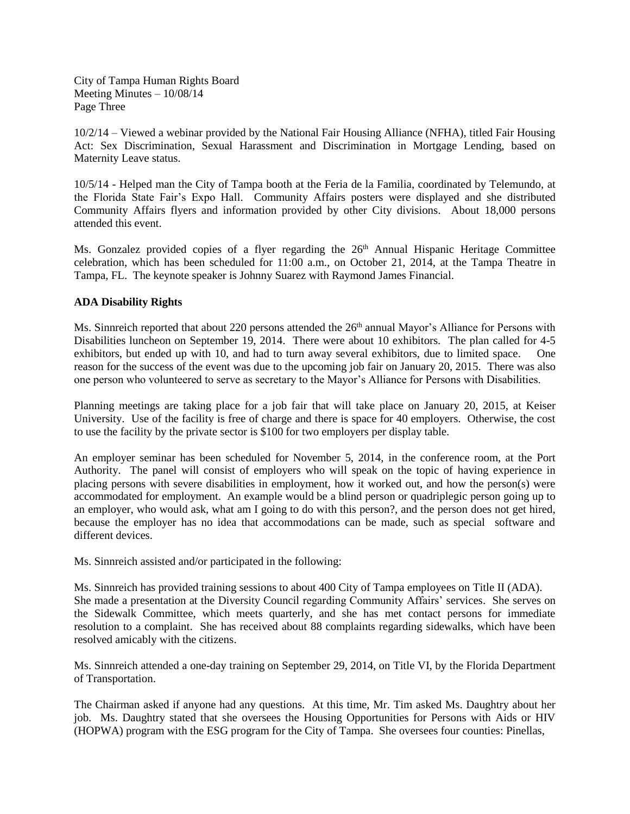City of Tampa Human Rights Board Meeting Minutes – 10/08/14 Page Three

10/2/14 – Viewed a webinar provided by the National Fair Housing Alliance (NFHA), titled Fair Housing Act: Sex Discrimination, Sexual Harassment and Discrimination in Mortgage Lending, based on Maternity Leave status.

10/5/14 - Helped man the City of Tampa booth at the Feria de la Familia, coordinated by Telemundo, at the Florida State Fair's Expo Hall. Community Affairs posters were displayed and she distributed Community Affairs flyers and information provided by other City divisions. About 18,000 persons attended this event.

Ms. Gonzalez provided copies of a flyer regarding the 26<sup>th</sup> Annual Hispanic Heritage Committee celebration, which has been scheduled for 11:00 a.m., on October 21, 2014, at the Tampa Theatre in Tampa, FL. The keynote speaker is Johnny Suarez with Raymond James Financial.

# **ADA Disability Rights**

Ms. Sinnreich reported that about 220 persons attended the 26<sup>th</sup> annual Mayor's Alliance for Persons with Disabilities luncheon on September 19, 2014. There were about 10 exhibitors. The plan called for 4-5 exhibitors, but ended up with 10, and had to turn away several exhibitors, due to limited space. One reason for the success of the event was due to the upcoming job fair on January 20, 2015. There was also one person who volunteered to serve as secretary to the Mayor's Alliance for Persons with Disabilities.

Planning meetings are taking place for a job fair that will take place on January 20, 2015, at Keiser University. Use of the facility is free of charge and there is space for 40 employers. Otherwise, the cost to use the facility by the private sector is \$100 for two employers per display table.

An employer seminar has been scheduled for November 5, 2014, in the conference room, at the Port Authority. The panel will consist of employers who will speak on the topic of having experience in placing persons with severe disabilities in employment, how it worked out, and how the person(s) were accommodated for employment. An example would be a blind person or quadriplegic person going up to an employer, who would ask, what am I going to do with this person?, and the person does not get hired, because the employer has no idea that accommodations can be made, such as special software and different devices.

Ms. Sinnreich assisted and/or participated in the following:

Ms. Sinnreich has provided training sessions to about 400 City of Tampa employees on Title II (ADA). She made a presentation at the Diversity Council regarding Community Affairs' services. She serves on the Sidewalk Committee, which meets quarterly, and she has met contact persons for immediate resolution to a complaint. She has received about 88 complaints regarding sidewalks, which have been resolved amicably with the citizens.

Ms. Sinnreich attended a one-day training on September 29, 2014, on Title VI, by the Florida Department of Transportation.

The Chairman asked if anyone had any questions. At this time, Mr. Tim asked Ms. Daughtry about her job. Ms. Daughtry stated that she oversees the Housing Opportunities for Persons with Aids or HIV (HOPWA) program with the ESG program for the City of Tampa. She oversees four counties: Pinellas,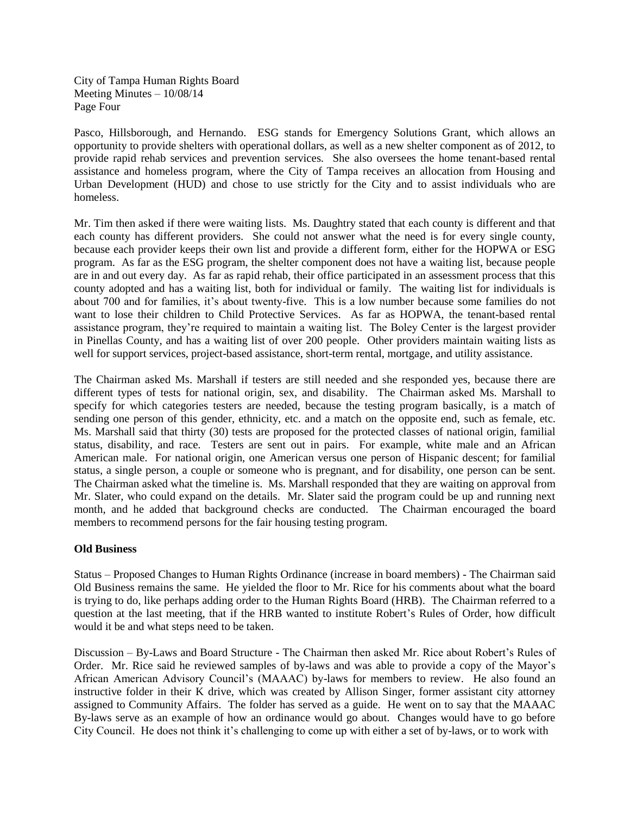City of Tampa Human Rights Board Meeting Minutes – 10/08/14 Page Four

Pasco, Hillsborough, and Hernando. ESG stands for Emergency Solutions Grant, which allows an opportunity to provide shelters with operational dollars, as well as a new shelter component as of 2012, to provide rapid rehab services and prevention services. She also oversees the home tenant-based rental assistance and homeless program, where the City of Tampa receives an allocation from Housing and Urban Development (HUD) and chose to use strictly for the City and to assist individuals who are homeless.

Mr. Tim then asked if there were waiting lists. Ms. Daughtry stated that each county is different and that each county has different providers. She could not answer what the need is for every single county, because each provider keeps their own list and provide a different form, either for the HOPWA or ESG program. As far as the ESG program, the shelter component does not have a waiting list, because people are in and out every day. As far as rapid rehab, their office participated in an assessment process that this county adopted and has a waiting list, both for individual or family. The waiting list for individuals is about 700 and for families, it's about twenty-five. This is a low number because some families do not want to lose their children to Child Protective Services. As far as HOPWA, the tenant-based rental assistance program, they're required to maintain a waiting list. The Boley Center is the largest provider in Pinellas County, and has a waiting list of over 200 people. Other providers maintain waiting lists as well for support services, project-based assistance, short-term rental, mortgage, and utility assistance.

The Chairman asked Ms. Marshall if testers are still needed and she responded yes, because there are different types of tests for national origin, sex, and disability. The Chairman asked Ms. Marshall to specify for which categories testers are needed, because the testing program basically, is a match of sending one person of this gender, ethnicity, etc. and a match on the opposite end, such as female, etc. Ms. Marshall said that thirty (30) tests are proposed for the protected classes of national origin, familial status, disability, and race. Testers are sent out in pairs. For example, white male and an African American male. For national origin, one American versus one person of Hispanic descent; for familial status, a single person, a couple or someone who is pregnant, and for disability, one person can be sent. The Chairman asked what the timeline is. Ms. Marshall responded that they are waiting on approval from Mr. Slater, who could expand on the details. Mr. Slater said the program could be up and running next month, and he added that background checks are conducted. The Chairman encouraged the board members to recommend persons for the fair housing testing program.

## **Old Business**

Status – Proposed Changes to Human Rights Ordinance (increase in board members) - The Chairman said Old Business remains the same. He yielded the floor to Mr. Rice for his comments about what the board is trying to do, like perhaps adding order to the Human Rights Board (HRB). The Chairman referred to a question at the last meeting, that if the HRB wanted to institute Robert's Rules of Order, how difficult would it be and what steps need to be taken.

Discussion – By-Laws and Board Structure - The Chairman then asked Mr. Rice about Robert's Rules of Order. Mr. Rice said he reviewed samples of by-laws and was able to provide a copy of the Mayor's African American Advisory Council's (MAAAC) by-laws for members to review. He also found an instructive folder in their K drive, which was created by Allison Singer, former assistant city attorney assigned to Community Affairs. The folder has served as a guide. He went on to say that the MAAAC By-laws serve as an example of how an ordinance would go about. Changes would have to go before City Council. He does not think it's challenging to come up with either a set of by-laws, or to work with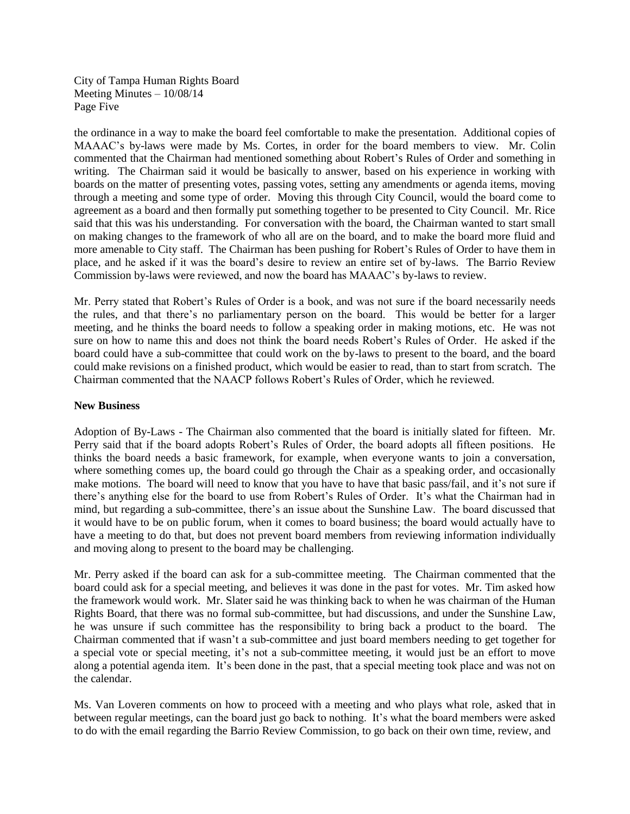City of Tampa Human Rights Board Meeting Minutes – 10/08/14 Page Five

the ordinance in a way to make the board feel comfortable to make the presentation. Additional copies of MAAAC's by-laws were made by Ms. Cortes, in order for the board members to view. Mr. Colin commented that the Chairman had mentioned something about Robert's Rules of Order and something in writing. The Chairman said it would be basically to answer, based on his experience in working with boards on the matter of presenting votes, passing votes, setting any amendments or agenda items, moving through a meeting and some type of order. Moving this through City Council, would the board come to agreement as a board and then formally put something together to be presented to City Council. Mr. Rice said that this was his understanding. For conversation with the board, the Chairman wanted to start small on making changes to the framework of who all are on the board, and to make the board more fluid and more amenable to City staff. The Chairman has been pushing for Robert's Rules of Order to have them in place, and he asked if it was the board's desire to review an entire set of by-laws. The Barrio Review Commission by-laws were reviewed, and now the board has MAAAC's by-laws to review.

Mr. Perry stated that Robert's Rules of Order is a book, and was not sure if the board necessarily needs the rules, and that there's no parliamentary person on the board. This would be better for a larger meeting, and he thinks the board needs to follow a speaking order in making motions, etc. He was not sure on how to name this and does not think the board needs Robert's Rules of Order. He asked if the board could have a sub-committee that could work on the by-laws to present to the board, and the board could make revisions on a finished product, which would be easier to read, than to start from scratch. The Chairman commented that the NAACP follows Robert's Rules of Order, which he reviewed.

#### **New Business**

Adoption of By-Laws - The Chairman also commented that the board is initially slated for fifteen. Mr. Perry said that if the board adopts Robert's Rules of Order, the board adopts all fifteen positions. He thinks the board needs a basic framework, for example, when everyone wants to join a conversation, where something comes up, the board could go through the Chair as a speaking order, and occasionally make motions. The board will need to know that you have to have that basic pass/fail, and it's not sure if there's anything else for the board to use from Robert's Rules of Order. It's what the Chairman had in mind, but regarding a sub-committee, there's an issue about the Sunshine Law. The board discussed that it would have to be on public forum, when it comes to board business; the board would actually have to have a meeting to do that, but does not prevent board members from reviewing information individually and moving along to present to the board may be challenging.

Mr. Perry asked if the board can ask for a sub-committee meeting. The Chairman commented that the board could ask for a special meeting, and believes it was done in the past for votes. Mr. Tim asked how the framework would work. Mr. Slater said he was thinking back to when he was chairman of the Human Rights Board, that there was no formal sub-committee, but had discussions, and under the Sunshine Law, he was unsure if such committee has the responsibility to bring back a product to the board. The Chairman commented that if wasn't a sub-committee and just board members needing to get together for a special vote or special meeting, it's not a sub-committee meeting, it would just be an effort to move along a potential agenda item. It's been done in the past, that a special meeting took place and was not on the calendar.

Ms. Van Loveren comments on how to proceed with a meeting and who plays what role, asked that in between regular meetings, can the board just go back to nothing. It's what the board members were asked to do with the email regarding the Barrio Review Commission, to go back on their own time, review, and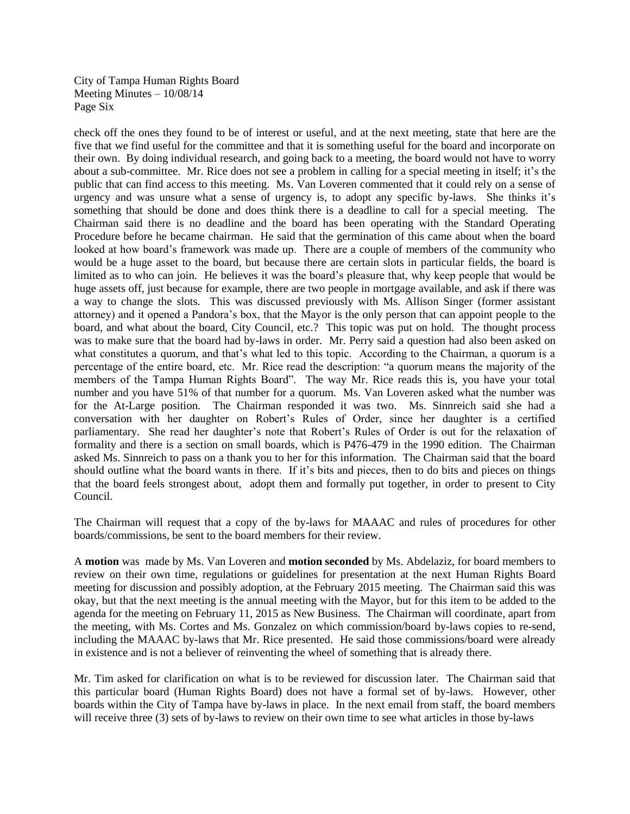City of Tampa Human Rights Board Meeting Minutes – 10/08/14 Page Six

check off the ones they found to be of interest or useful, and at the next meeting, state that here are the five that we find useful for the committee and that it is something useful for the board and incorporate on their own. By doing individual research, and going back to a meeting, the board would not have to worry about a sub-committee. Mr. Rice does not see a problem in calling for a special meeting in itself; it's the public that can find access to this meeting. Ms. Van Loveren commented that it could rely on a sense of urgency and was unsure what a sense of urgency is, to adopt any specific by-laws. She thinks it's something that should be done and does think there is a deadline to call for a special meeting. The Chairman said there is no deadline and the board has been operating with the Standard Operating Procedure before he became chairman. He said that the germination of this came about when the board looked at how board's framework was made up. There are a couple of members of the community who would be a huge asset to the board, but because there are certain slots in particular fields, the board is limited as to who can join. He believes it was the board's pleasure that, why keep people that would be huge assets off, just because for example, there are two people in mortgage available, and ask if there was a way to change the slots. This was discussed previously with Ms. Allison Singer (former assistant attorney) and it opened a Pandora's box, that the Mayor is the only person that can appoint people to the board, and what about the board, City Council, etc.? This topic was put on hold. The thought process was to make sure that the board had by-laws in order. Mr. Perry said a question had also been asked on what constitutes a quorum, and that's what led to this topic. According to the Chairman, a quorum is a percentage of the entire board, etc. Mr. Rice read the description: "a quorum means the majority of the members of the Tampa Human Rights Board". The way Mr. Rice reads this is, you have your total number and you have 51% of that number for a quorum. Ms. Van Loveren asked what the number was for the At-Large position. The Chairman responded it was two. Ms. Sinnreich said she had a conversation with her daughter on Robert's Rules of Order, since her daughter is a certified parliamentary. She read her daughter's note that Robert's Rules of Order is out for the relaxation of formality and there is a section on small boards, which is P476-479 in the 1990 edition. The Chairman asked Ms. Sinnreich to pass on a thank you to her for this information. The Chairman said that the board should outline what the board wants in there. If it's bits and pieces, then to do bits and pieces on things that the board feels strongest about, adopt them and formally put together, in order to present to City Council.

The Chairman will request that a copy of the by-laws for MAAAC and rules of procedures for other boards/commissions, be sent to the board members for their review.

A **motion** was made by Ms. Van Loveren and **motion seconded** by Ms. Abdelaziz, for board members to review on their own time, regulations or guidelines for presentation at the next Human Rights Board meeting for discussion and possibly adoption, at the February 2015 meeting. The Chairman said this was okay, but that the next meeting is the annual meeting with the Mayor, but for this item to be added to the agenda for the meeting on February 11, 2015 as New Business. The Chairman will coordinate, apart from the meeting, with Ms. Cortes and Ms. Gonzalez on which commission/board by-laws copies to re-send, including the MAAAC by-laws that Mr. Rice presented. He said those commissions/board were already in existence and is not a believer of reinventing the wheel of something that is already there.

Mr. Tim asked for clarification on what is to be reviewed for discussion later. The Chairman said that this particular board (Human Rights Board) does not have a formal set of by-laws. However, other boards within the City of Tampa have by-laws in place. In the next email from staff, the board members will receive three (3) sets of by-laws to review on their own time to see what articles in those by-laws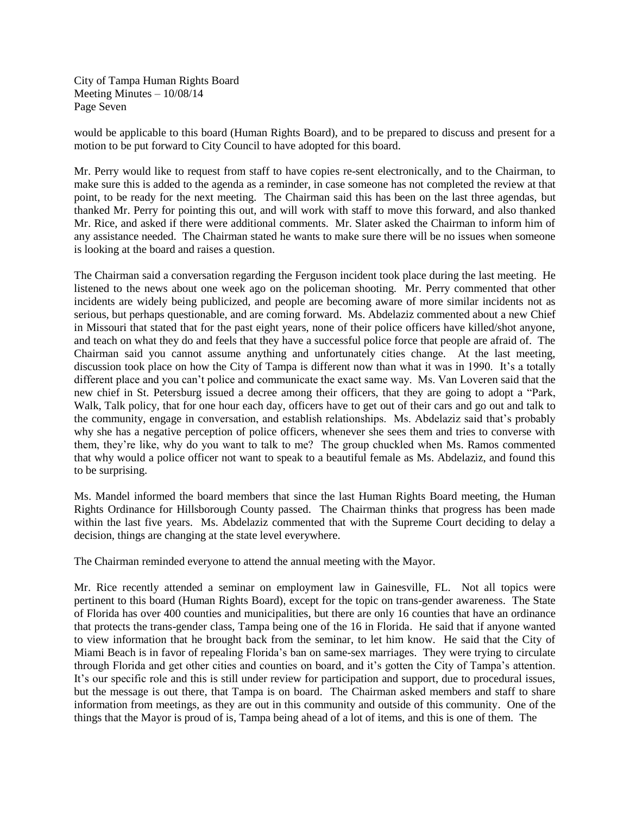City of Tampa Human Rights Board Meeting Minutes – 10/08/14 Page Seven

would be applicable to this board (Human Rights Board), and to be prepared to discuss and present for a motion to be put forward to City Council to have adopted for this board.

Mr. Perry would like to request from staff to have copies re-sent electronically, and to the Chairman, to make sure this is added to the agenda as a reminder, in case someone has not completed the review at that point, to be ready for the next meeting. The Chairman said this has been on the last three agendas, but thanked Mr. Perry for pointing this out, and will work with staff to move this forward, and also thanked Mr. Rice, and asked if there were additional comments. Mr. Slater asked the Chairman to inform him of any assistance needed. The Chairman stated he wants to make sure there will be no issues when someone is looking at the board and raises a question.

The Chairman said a conversation regarding the Ferguson incident took place during the last meeting. He listened to the news about one week ago on the policeman shooting. Mr. Perry commented that other incidents are widely being publicized, and people are becoming aware of more similar incidents not as serious, but perhaps questionable, and are coming forward. Ms. Abdelaziz commented about a new Chief in Missouri that stated that for the past eight years, none of their police officers have killed/shot anyone, and teach on what they do and feels that they have a successful police force that people are afraid of. The Chairman said you cannot assume anything and unfortunately cities change. At the last meeting, discussion took place on how the City of Tampa is different now than what it was in 1990. It's a totally different place and you can't police and communicate the exact same way. Ms. Van Loveren said that the new chief in St. Petersburg issued a decree among their officers, that they are going to adopt a "Park, Walk, Talk policy, that for one hour each day, officers have to get out of their cars and go out and talk to the community, engage in conversation, and establish relationships. Ms. Abdelaziz said that's probably why she has a negative perception of police officers, whenever she sees them and tries to converse with them, they're like, why do you want to talk to me? The group chuckled when Ms. Ramos commented that why would a police officer not want to speak to a beautiful female as Ms. Abdelaziz, and found this to be surprising.

Ms. Mandel informed the board members that since the last Human Rights Board meeting, the Human Rights Ordinance for Hillsborough County passed. The Chairman thinks that progress has been made within the last five years. Ms. Abdelaziz commented that with the Supreme Court deciding to delay a decision, things are changing at the state level everywhere.

The Chairman reminded everyone to attend the annual meeting with the Mayor.

Mr. Rice recently attended a seminar on employment law in Gainesville, FL. Not all topics were pertinent to this board (Human Rights Board), except for the topic on trans-gender awareness. The State of Florida has over 400 counties and municipalities, but there are only 16 counties that have an ordinance that protects the trans-gender class, Tampa being one of the 16 in Florida. He said that if anyone wanted to view information that he brought back from the seminar, to let him know. He said that the City of Miami Beach is in favor of repealing Florida's ban on same-sex marriages. They were trying to circulate through Florida and get other cities and counties on board, and it's gotten the City of Tampa's attention. It's our specific role and this is still under review for participation and support, due to procedural issues, but the message is out there, that Tampa is on board. The Chairman asked members and staff to share information from meetings, as they are out in this community and outside of this community. One of the things that the Mayor is proud of is, Tampa being ahead of a lot of items, and this is one of them. The